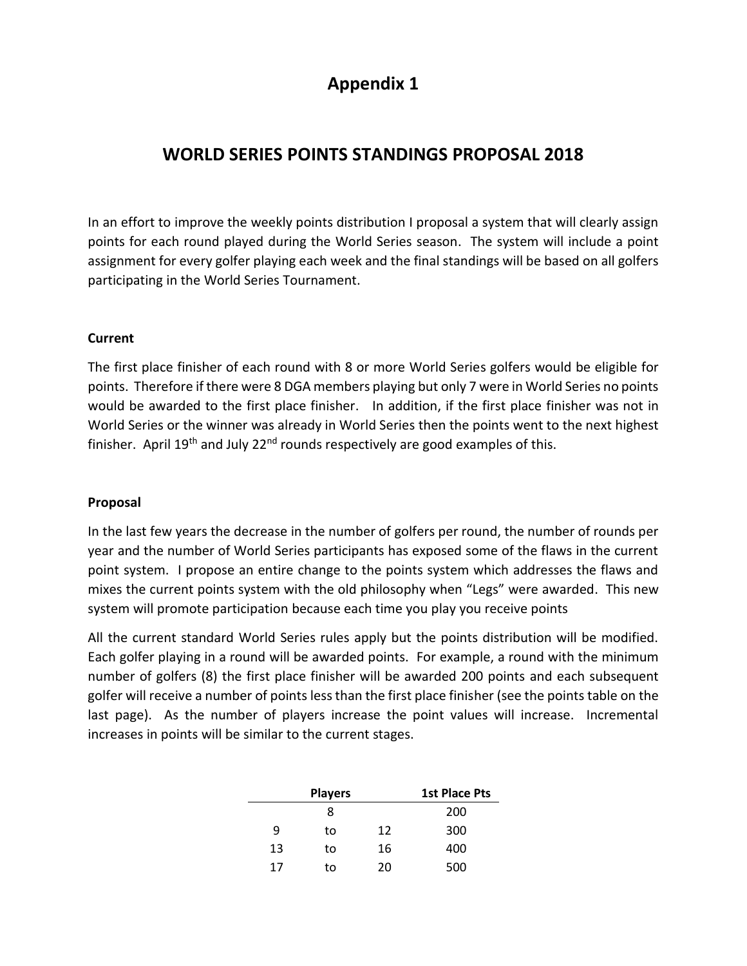# **Appendix 1**

## **WORLD SERIES POINTS STANDINGS PROPOSAL 2018**

In an effort to improve the weekly points distribution I proposal a system that will clearly assign points for each round played during the World Series season. The system will include a point assignment for every golfer playing each week and the final standings will be based on all golfers participating in the World Series Tournament.

#### **Current**

The first place finisher of each round with 8 or more World Series golfers would be eligible for points. Therefore if there were 8 DGA members playing but only 7 were in World Series no points would be awarded to the first place finisher. In addition, if the first place finisher was not in World Series or the winner was already in World Series then the points went to the next highest finisher. April 19<sup>th</sup> and July 22<sup>nd</sup> rounds respectively are good examples of this.

#### **Proposal**

In the last few years the decrease in the number of golfers per round, the number of rounds per year and the number of World Series participants has exposed some of the flaws in the current point system. I propose an entire change to the points system which addresses the flaws and mixes the current points system with the old philosophy when "Legs" were awarded. This new system will promote participation because each time you play you receive points

All the current standard World Series rules apply but the points distribution will be modified. Each golfer playing in a round will be awarded points. For example, a round with the minimum number of golfers (8) the first place finisher will be awarded 200 points and each subsequent golfer will receive a number of points less than the first place finisher (see the points table on the last page). As the number of players increase the point values will increase. Incremental increases in points will be similar to the current stages.

|    | <b>Players</b> | <b>1st Place Pts</b> |     |
|----|----------------|----------------------|-----|
|    | 8              |                      | 200 |
| 9  | to             | 12                   | 300 |
| 13 | to             | 16                   | 400 |
| 17 | to             | 20                   | 500 |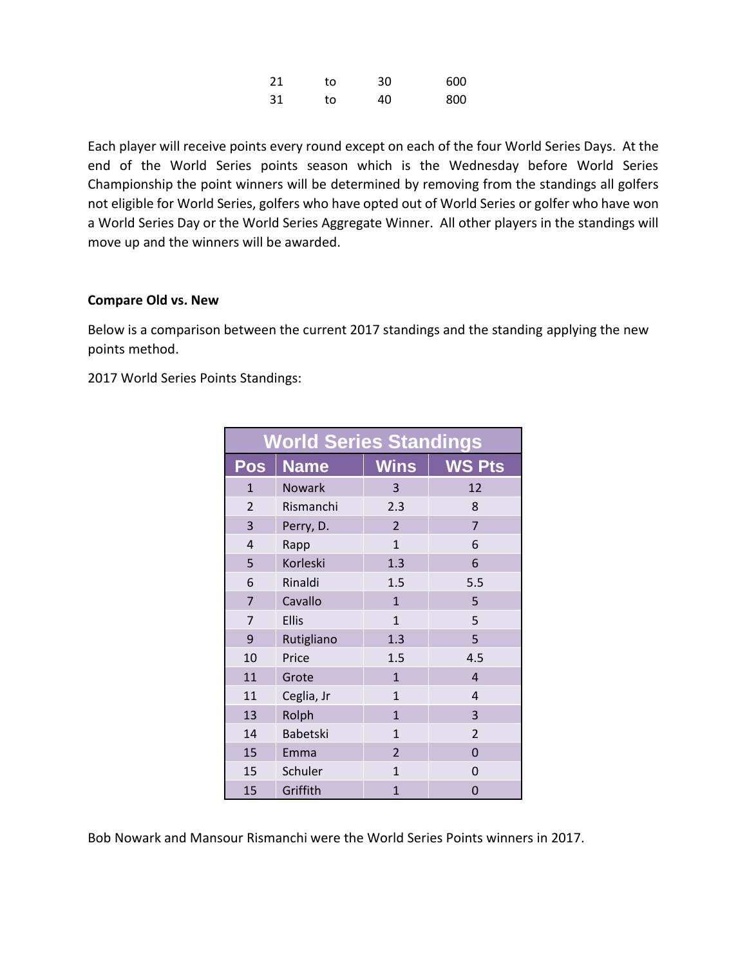| 21  | to | 30 | 600 |
|-----|----|----|-----|
| -31 | to | 40 | 800 |

Each player will receive points every round except on each of the four World Series Days. At the end of the World Series points season which is the Wednesday before World Series Championship the point winners will be determined by removing from the standings all golfers not eligible for World Series, golfers who have opted out of World Series or golfer who have won a World Series Day or the World Series Aggregate Winner. All other players in the standings will move up and the winners will be awarded.

#### **Compare Old vs. New**

Below is a comparison between the current 2017 standings and the standing applying the new points method.

2017 World Series Points Standings:

| <b>World Series Standings</b> |               |                |                |  |  |  |  |  |  |  |  |  |
|-------------------------------|---------------|----------------|----------------|--|--|--|--|--|--|--|--|--|
| <b>Pos</b>                    | <b>Name</b>   | <b>Wins</b>    | <b>WS Pts</b>  |  |  |  |  |  |  |  |  |  |
| $\mathbf{1}$                  | <b>Nowark</b> | 3              | 12             |  |  |  |  |  |  |  |  |  |
| $\overline{2}$                | Rismanchi     | 2.3            | 8              |  |  |  |  |  |  |  |  |  |
| 3                             | Perry, D.     | 2              | $\overline{7}$ |  |  |  |  |  |  |  |  |  |
| 4                             | Rapp          | $\overline{1}$ | 6              |  |  |  |  |  |  |  |  |  |
| 5                             | Korleski      | 1.3            | 6              |  |  |  |  |  |  |  |  |  |
| 6                             | Rinaldi       | 1.5            | 5.5            |  |  |  |  |  |  |  |  |  |
| $\overline{7}$                | Cavallo       | $\mathbf{1}$   | 5              |  |  |  |  |  |  |  |  |  |
| 7                             | <b>Ellis</b>  | $\mathbf{1}$   | 5              |  |  |  |  |  |  |  |  |  |
| 9                             | Rutigliano    | 1.3            | 5              |  |  |  |  |  |  |  |  |  |
| 10                            | Price         | 1.5            | 4.5            |  |  |  |  |  |  |  |  |  |
| 11                            | Grote         | $\mathbf{1}$   | $\overline{4}$ |  |  |  |  |  |  |  |  |  |
| 11                            | Ceglia, Jr    | $\mathbf{1}$   | $\overline{4}$ |  |  |  |  |  |  |  |  |  |
| 13                            | Rolph         | $\mathbf{1}$   | 3              |  |  |  |  |  |  |  |  |  |
| 14                            | Babetski      | $\overline{1}$ | $\overline{2}$ |  |  |  |  |  |  |  |  |  |
| 15                            | Emma          | $\overline{2}$ | 0              |  |  |  |  |  |  |  |  |  |
| 15                            | Schuler       | $\mathbf{1}$   | 0              |  |  |  |  |  |  |  |  |  |
| 15                            | Griffith      | $\mathbf{1}$   | 0              |  |  |  |  |  |  |  |  |  |

Bob Nowark and Mansour Rismanchi were the World Series Points winners in 2017.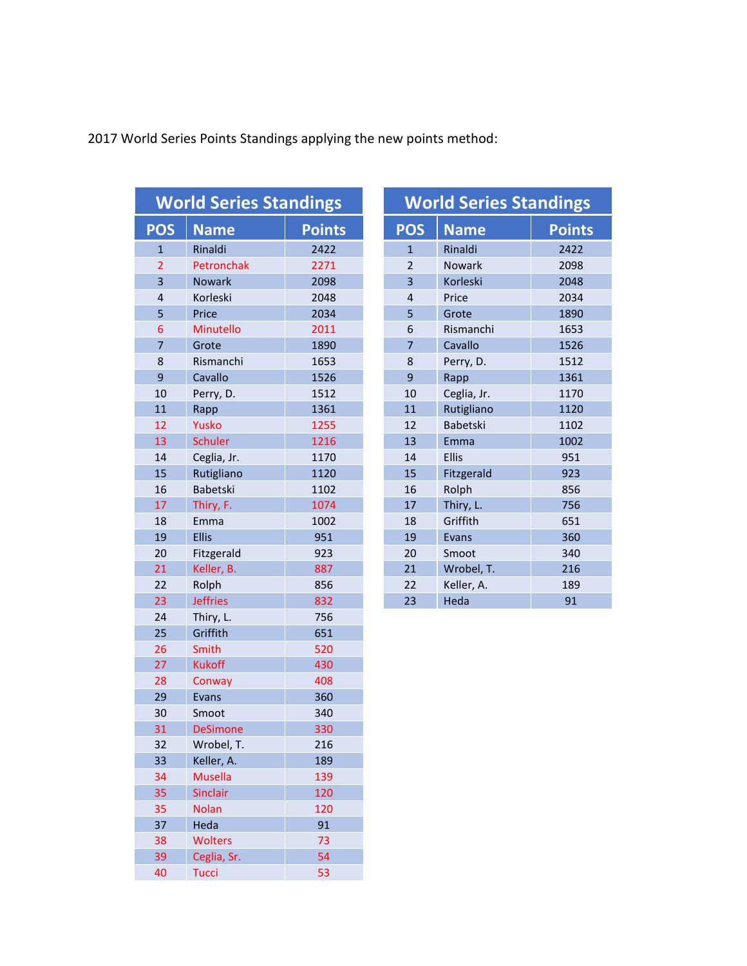2017 World Series Points Standings applying the new points method:

|                | <b>World Series Standings</b> |               |                | <b>World Series Standings</b> |               |  |  |  |  |
|----------------|-------------------------------|---------------|----------------|-------------------------------|---------------|--|--|--|--|
| <b>POS</b>     | <b>Name</b>                   | <b>Points</b> | <b>POS</b>     | <b>Name</b>                   | <b>Points</b> |  |  |  |  |
| $\mathbf{1}$   | Rinaldi                       | 2422          | $\mathbf{1}$   | Rinaldi                       | 2422          |  |  |  |  |
| $\overline{2}$ | Petronchak                    | 2271          | $\overline{2}$ | Nowark                        | 2098          |  |  |  |  |
| 3              | <b>Nowark</b>                 | 2098          | 3              | Korleski                      | 2048          |  |  |  |  |
| $\overline{4}$ | Korleski                      | 2048          | $\overline{4}$ | Price                         | 2034          |  |  |  |  |
| 5              | Price                         | 2034          | 5              | Grote                         | 1890          |  |  |  |  |
| 6              | Minutello                     | 2011          | 6              | Rismanchi                     | 1653          |  |  |  |  |
| $\overline{7}$ | Grote                         | 1890          | $\overline{7}$ | Cavallo                       | 1526          |  |  |  |  |
| 8              | Rismanchi                     | 1653          | 8              | Perry, D.                     | 1512          |  |  |  |  |
| $\overline{9}$ | Cavallo                       | 1526          | 9              | Rapp                          | 1361          |  |  |  |  |
| 10             | Perry, D.                     | 1512          | 10             | Ceglia, Jr.                   | 1170          |  |  |  |  |
| 11             | Rapp                          | 1361          | 11             | Rutigliano                    | 1120          |  |  |  |  |
| 12             | Yusko                         | 1255          | 12             | Babetski                      | 1102          |  |  |  |  |
| 13             | <b>Schuler</b>                | 1216          | 13             | Emma                          | 1002          |  |  |  |  |
| 14             | Ceglia, Jr.                   | 1170          | 14             | Ellis                         | 951           |  |  |  |  |
| 15             | Rutigliano                    | 1120          | 15             | Fitzgerald                    | 923           |  |  |  |  |
| 16             | <b>Babetski</b>               | 1102          | 16             | Rolph                         | 856           |  |  |  |  |
| 17             | Thiry, F.                     | 1074          | 17             | Thiry, L.                     | 756           |  |  |  |  |
| 18             | Emma                          | 1002          | 18             | Griffith                      | 651           |  |  |  |  |
| 19             | <b>Ellis</b>                  | 951           | 19             | Evans                         | 360           |  |  |  |  |
| 20             | Fitzgerald                    | 923           | 20             | Smoot                         | 340           |  |  |  |  |
| 21             | Keller, B.                    | 887           | 21             | Wrobel, T.                    | 216           |  |  |  |  |
| 22             | Rolph                         | 856           | 22             | Keller, A.                    | 189           |  |  |  |  |
| 23             | <b>Jeffries</b>               | 832           | 23             | Heda                          | 91            |  |  |  |  |
| 24             | Thiry, L.                     | 756           |                |                               |               |  |  |  |  |
| 25             | Griffith                      | 651           |                |                               |               |  |  |  |  |
| 26             | Smith                         | 520           |                |                               |               |  |  |  |  |
| 27             | <b>Kukoff</b>                 | 430           |                |                               |               |  |  |  |  |
| 28             | Conway                        | 408           |                |                               |               |  |  |  |  |
| 29             | Evans                         | 360           |                |                               |               |  |  |  |  |
| 30             | Smoot                         | 340           |                |                               |               |  |  |  |  |
| 31             | <b>DeSimone</b>               | 330           |                |                               |               |  |  |  |  |
| 32             | Wrobel, T.                    | 216           |                |                               |               |  |  |  |  |
| 33             | Keller, A.                    | 189           |                |                               |               |  |  |  |  |
| 34             | <b>Musella</b>                | 139           |                |                               |               |  |  |  |  |
| 35             | Sinclair                      | 120           |                |                               |               |  |  |  |  |
| 35             | <b>Nolan</b>                  | 120           |                |                               |               |  |  |  |  |
| 37             | Heda                          | 91            |                |                               |               |  |  |  |  |
| 38             | <b>Wolters</b>                | 73            |                |                               |               |  |  |  |  |
| 39             | Ceglia, Sr.                   | 54            |                |                               |               |  |  |  |  |
| 40             | <b>Tucci</b>                  | 53            |                |                               |               |  |  |  |  |

| <b>World Series Standings</b> |                 |               |  |  |  |  |  |  |  |  |  |  |
|-------------------------------|-----------------|---------------|--|--|--|--|--|--|--|--|--|--|
| <b>POS</b>                    | <b>Name</b>     | <b>Points</b> |  |  |  |  |  |  |  |  |  |  |
| $\mathbf{1}$                  | Rinaldi         | 2422          |  |  |  |  |  |  |  |  |  |  |
| $\overline{\phantom{a}}$      | <b>Nowark</b>   | 2098          |  |  |  |  |  |  |  |  |  |  |
| $\overline{3}$                | Korleski        | 2048          |  |  |  |  |  |  |  |  |  |  |
| $\overline{4}$                | Price           | 2034          |  |  |  |  |  |  |  |  |  |  |
| 5                             | Grote           | 1890          |  |  |  |  |  |  |  |  |  |  |
| 6                             | Rismanchi       | 1653          |  |  |  |  |  |  |  |  |  |  |
| $\overline{7}$                | Cavallo         | 1526          |  |  |  |  |  |  |  |  |  |  |
| 8                             | Perry, D.       | 1512          |  |  |  |  |  |  |  |  |  |  |
| 9                             | Rapp            | 1361          |  |  |  |  |  |  |  |  |  |  |
| 10                            | Ceglia, Jr.     | 1170          |  |  |  |  |  |  |  |  |  |  |
| 11                            | Rutigliano      | 1120          |  |  |  |  |  |  |  |  |  |  |
| 12                            | <b>Babetski</b> | 1102          |  |  |  |  |  |  |  |  |  |  |
| 13                            | Emma            | 1002          |  |  |  |  |  |  |  |  |  |  |
| 14                            | <b>Ellis</b>    | 951           |  |  |  |  |  |  |  |  |  |  |
| 15                            | Fitzgerald      | 923           |  |  |  |  |  |  |  |  |  |  |
| 16                            | Rolph           | 856           |  |  |  |  |  |  |  |  |  |  |
| 17                            | Thiry, L.       | 756           |  |  |  |  |  |  |  |  |  |  |
| 18                            | Griffith        | 651           |  |  |  |  |  |  |  |  |  |  |
| 19                            | Evans           | 360           |  |  |  |  |  |  |  |  |  |  |
| 20                            | Smoot           | 340           |  |  |  |  |  |  |  |  |  |  |
| 21                            | Wrobel, T.      | 216           |  |  |  |  |  |  |  |  |  |  |
| 22                            | Keller, A.      | 189           |  |  |  |  |  |  |  |  |  |  |
| 23                            | Heda            | 91            |  |  |  |  |  |  |  |  |  |  |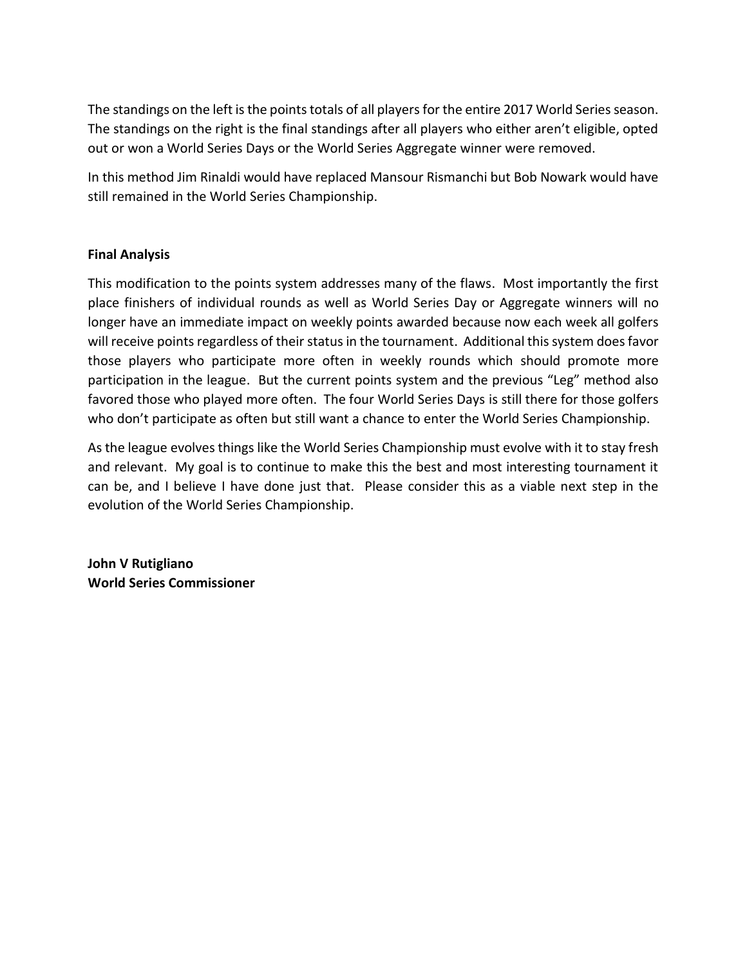The standings on the left is the points totals of all players for the entire 2017 World Series season. The standings on the right is the final standings after all players who either aren't eligible, opted out or won a World Series Days or the World Series Aggregate winner were removed.

In this method Jim Rinaldi would have replaced Mansour Rismanchi but Bob Nowark would have still remained in the World Series Championship.

### **Final Analysis**

This modification to the points system addresses many of the flaws. Most importantly the first place finishers of individual rounds as well as World Series Day or Aggregate winners will no longer have an immediate impact on weekly points awarded because now each week all golfers will receive points regardless of their status in the tournament. Additional this system does favor those players who participate more often in weekly rounds which should promote more participation in the league. But the current points system and the previous "Leg" method also favored those who played more often. The four World Series Days is still there for those golfers who don't participate as often but still want a chance to enter the World Series Championship.

As the league evolves things like the World Series Championship must evolve with it to stay fresh and relevant. My goal is to continue to make this the best and most interesting tournament it can be, and I believe I have done just that. Please consider this as a viable next step in the evolution of the World Series Championship.

**John V Rutigliano World Series Commissioner**